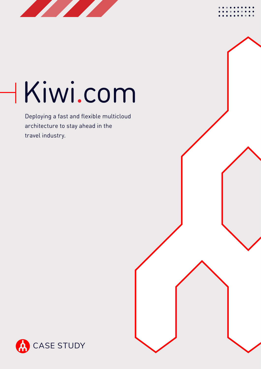

# Kiwi.com

Deploying a fast and flexible multicloud architecture to stay ahead in the travel industry.



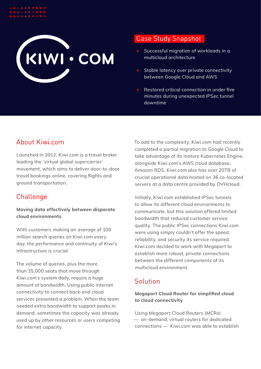# KIWI . COM

# Case Study Snapshot

- Successful migration of workloads in a multicloud architecture
- Stable latency over private connectivity between Google Cloud and AWS
- Restored critical connection in under five minutes during unexpected IPSec tunnel downtime

# About Kiwi.com

Launched in 2012, Kiwi.com is a travel broker leading the 'virtual global supercarrier' movement, which aims to deliver door-to-door travel bookings online, covering flights and ground transportation.

# **Challenge**

#### **Moving data effectively between disparate cloud environments**

With customers making an average of 100 million search queries on Kiwi.com every day, the performance and continuity of Kiwi's infrastructure is crucial.

The volume of queries, plus the more than 35,000 seats that move through Kiwi.com's system daily, require a huge amount of bandwidth. Using public internet connectivity to connect back-end cloud services presented a problem. When the team needed extra bandwidth to support peaks in demand, sometimes the capacity was already used up by other resources or users competing for internet capacity.

To add to the complexity, Kiwi.com had recently completed a partial migration to Google Cloud to take advantage of its mature Kubernetes Engine, alongside Kiwi.com's AWS cloud database, Amazon RDS. Kiwi.com also has over 20TB of crucial operational data hosted on 36 co-located servers at a data centre provided by OVHcloud.

Initially, Kiwi.com established IPSec tunnels to allow its different cloud environments to communicate, but this solution offered limited bandwidth that reduced customer service quality. The public IPSec connections Kiwi.com were using simply couldn't offer the speed, reliability, and security its service required. Kiwi.com decided to work with Megaport to establish more robust, private connections between the different components of its multicloud environment.

# Solution

#### **Megaport Cloud Router for simplified cloud to cloud connectivity**

Using Megaport Cloud Routers (MCRs) — on-demand, virtual routers for dedicated connections — Kiwi.com was able to establish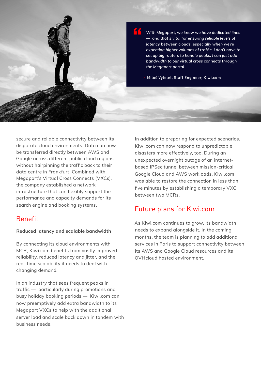

*With Megaport, we know we have dedicated lines — and that's vital for ensuring reliable levels of latency between clouds, especially when we're expecting higher volumes of traffic. I don't have to set up big routers to handle peaks; I can just add bandwidth to our virtual cross connects through the Megaport portal.*

 **-** Miloš Vyletel, Staff Engineer, Kiwi.com

**"**

secure and reliable connectivity between its disparate cloud environments. Data can now be transferred directly between AWS and Google across different public cloud regions without hairpinning the traffic back to their data centre in Frankfurt. Combined with Megaport's Virtual Cross Connects (VXCs), the company established a network infrastructure that can flexibly support the performance and capacity demands for its search engine and booking systems.

## Benefit

#### **Reduced latency and scalable bandwidth**

By connecting its cloud environments with MCR, Kiwi.com benefits from vastly improved reliability, reduced latency and jitter, and the real-time scalability it needs to deal with changing demand.

In an industry that sees frequent peaks in traffic — particularly during promotions and busy holiday booking periods — Kiwi.com can now preemptively add extra bandwidth to its Megaport VXCs to help with the additional server load and scale back down in tandem with business needs.

In addition to preparing for expected scenarios, Kiwi.com can now respond to unpredictable disasters more effectively, too. During an unexpected overnight outage of an internetbased IPSec tunnel between mission-critical Google Cloud and AWS workloads, Kiwi.com was able to restore the connection in less than five minutes by establishing a temporary VXC between two MCRs.

## Future plans for Kiwi.com

As Kiwi.com continues to grow, its bandwidth needs to expand alongside it. In the coming months, the team is planning to add additional services in Paris to support connectivity between its AWS and Google Cloud resources and its OVHcloud hosted environment.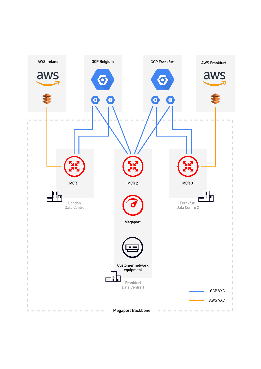